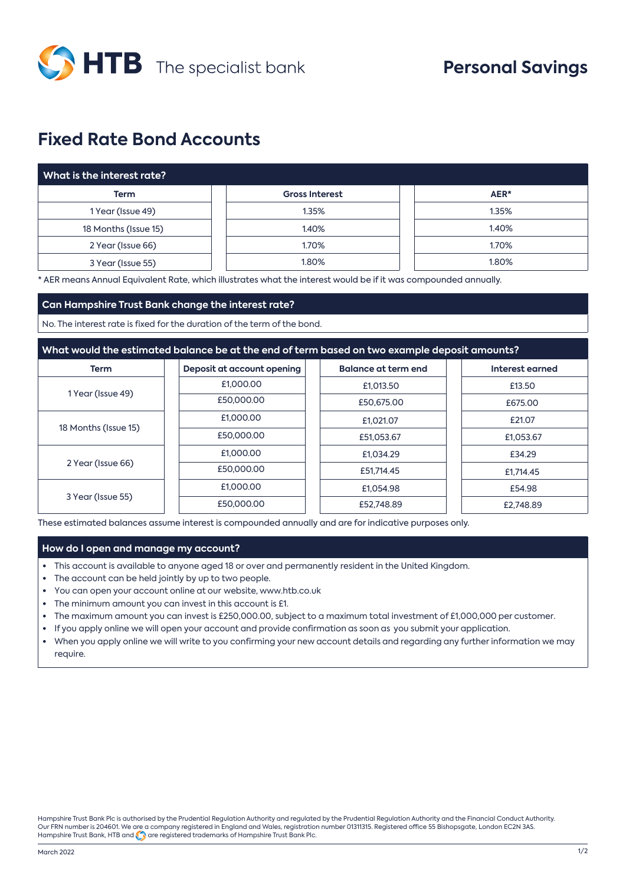

# **Fixed Rate Bond Accounts**

| What is the interest rate? |                       |       |  |  |  |
|----------------------------|-----------------------|-------|--|--|--|
| <b>Term</b>                | <b>Gross Interest</b> | AER*  |  |  |  |
| 1 Year (Issue 49)          | 1.35%                 | 1.35% |  |  |  |
| 18 Months (Issue 15)       | 1.40%                 | 1.40% |  |  |  |
| 2 Year (Issue 66)          | 1.70%                 | 1.70% |  |  |  |
| 3 Year (Issue 55)          | 1.80%                 | 1.80% |  |  |  |

\* AER means Annual Equivalent Rate, which illustrates what the interest would be if it was compounded annually.

### **Can Hampshire Trust Bank change the interest rate?**

No. The interest rate is fixed for the duration of the term of the bond.

### **What would the estimated balance be at the end of term based on two example deposit amounts?**

| <b>Term</b>          | Deposit at account opening | <b>Balance at term end</b> | Interest earned |
|----------------------|----------------------------|----------------------------|-----------------|
| 1 Year (Issue 49)    | £1,000.00                  | £1,013.50                  | £13.50          |
|                      | £50,000.00                 | £50,675,00                 | £675.00         |
| 18 Months (Issue 15) | £1,000,00                  | £1,021.07                  | £21.07          |
|                      | £50,000.00                 | £51.053.67                 | £1,053.67       |
| 2 Year (Issue 66)    | £1,000.00                  | £1.034.29                  | £34.29          |
|                      | £50,000.00                 | £51,714.45                 | £1,714.45       |
| 3 Year (Issue 55)    | £1,000.00                  | £1.054.98                  | £54.98          |
|                      | £50,000.00                 | £52,748.89                 | £2,748.89       |

These estimated balances assume interest is compounded annually and are for indicative purposes only.

### **How do I open and manage my account?**

- **•** This account is available to anyone aged 18 or over and permanently resident in the United Kingdom.
- **•** The account can be held jointly by up to two people.
- **•** You can open your account online at our website, www.htb.co.uk
- **•** The minimum amount you can invest in this account is £1.
- **•** The maximum amount you can invest is £250,000.00, subject to a maximum total investment of £1,000,000 per customer.
- **•** If you apply online we will open your account and provide confirmation as soon as you submit your application.
- **•** When you apply online we will write to you confirming your new account details and regarding any further information we may require.

Hampshire Trust Bank Plc is authorised by the Prudential Regulation Authority and regulated by the Prudential Regulation Authority and the Financial Conduct Authority. Our FRN number is 204601. We are a company registered in England and Wales, registration number 01311315. Registered office 55 Bishopsgate, London EC2N 3AS. Hampshire Trust Bank, HTB and  $\bigodot$  are registered trademarks of Hampshire Trust Bank Plc.